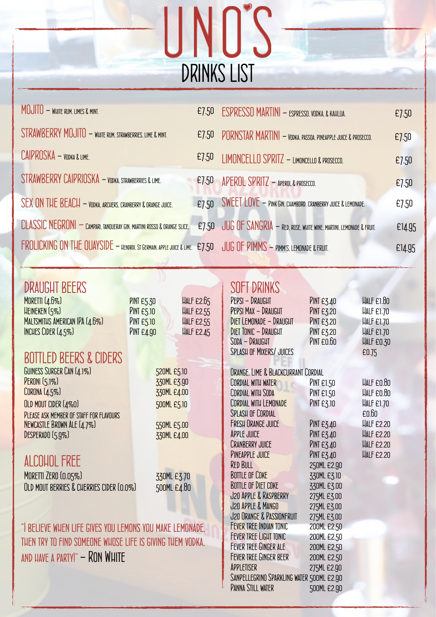

| MOJITO - WHITE RUM, LIMES & MINT.                                                                                    |       | E7.50 ESPRESSO MARTINI - ESPRESSO, VODKA, & KAHLUA.                                  | E7.50  |
|----------------------------------------------------------------------------------------------------------------------|-------|--------------------------------------------------------------------------------------|--------|
| STRAWBERRY MOJITO - WHITE RUM, STRAWBERRIES, LIME & MINT.                                                            |       | E7.50 PORNSTAR MARTINI - VODKA, PASSOA, PINEAPPLE JUICE & PROSECCO.                  | E7.50  |
| $CAIPROSKA - \text{YODKA}$ & lime.                                                                                   | £7.50 | LIMONCELLO SPRITZ - LIMONCELLO & PROSECCO.                                           | E7.50  |
| STRAWBERRY CAIPRIOSKA - VODKA. STRAWBERRIES & LIME.                                                                  | £7.50 | APEROL SPRITZ - APEROL & PROSECCO.                                                   | E7.50  |
| <b>SEX ON THE BEACH - VODKA, ARCHERS, CRANBERRY &amp; ORANGE JUICE.</b>                                              | £7.50 | $\textsf{SWEET}$ $\textsf{LOVE}$ $-$ Pink Gin, chambord, cranberry juice & Lemonade. | E7.50  |
| <b>CLASSIC NEGRONI — CAMPARI, TANQUERAY GIN, MARTINI ROSSO &amp; ORANGE SLICE.</b>                                   |       | E7.50 JUG OF SANGRIA - RED. ROSE. WHITE WINE. MARTINI. LEMONADE & FRUIT.             | £14.95 |
| FROLICKING ON THE QUAYSIDE — HENDRIX. ST GERMAIN, APPLE JUICE & LIME: £7.50 JUG OF PIMMS — PIMM'S, LEMONADE & FRUIT. |       |                                                                                      | £14.95 |

| <b>DRAUGHT BEERS</b>                                      |                                        | <b>SOFT DRINKS</b>                        |                   |                   |
|-----------------------------------------------------------|----------------------------------------|-------------------------------------------|-------------------|-------------------|
| MORETTI (4.6%)                                            | HALF £2.65<br><b>PINT £5.30</b>        | PEPSI - DRAUGHT                           | <b>PINT £3.40</b> | <b>HALF £1.80</b> |
| HEINEKEN (5%)                                             | <b>HALF £2.55</b><br><b>PINT £5.10</b> | PEPSI MAX - DRAUGHT                       | <b>PINT £3.20</b> | <b>HALF £1.70</b> |
| MALTSMITHS AMERICAN IPA (4.6%)                            | <b>PINT £5.10</b><br><b>HALF £2.55</b> | DIET LEMONADE - DRAUGHT                   | <b>PINT £3.20</b> | <b>HALF £1.70</b> |
| INCHES CIDER (4.5%)                                       | PINT £4.90<br><b>HALF £2.45</b>        | <b>DIET TONIC - DRAUGHT</b>               | <b>PINT £3.20</b> | HALF £1.70        |
|                                                           |                                        | SODA - DRAUGHT                            | PINT £0.60        | HALF £0.30        |
| <b>BOTTLED BEERS &amp; CIDERS</b>                         |                                        | <b>SPLASH OF MIXERS/ JUICES</b>           |                   | £0.75             |
| GUINESS SURGER CAN (4.1%)                                 | 520ML £5.10                            | ORANGE, LIME & BLACKCURRANT CORDIAL       |                   |                   |
| <b>PERONI</b> (5.1%)                                      | 330ML £3.90                            | CORDIAL WITH WATER                        | PINT £1.50        | HALF £0.80        |
| CORONA (4.5%)                                             | 330ML £4.00                            | CORDIAL WITH SODA                         | <b>PINT £1.50</b> | HALF £0.80        |
| OLD MOUT CIDER (4%0)                                      | 500ML £5.10                            | CORDIAL WITH LEMONADE                     | PINT £3.10        | <b>HALF £1.70</b> |
| PLEASE ASK MEMBER OF STAFF FOR FLAVOURS                   |                                        | <b>SPLASH OF CORDIAL</b>                  |                   | E <sub>0.60</sub> |
| NEWCASTLE BROWN ALE (4.7%)                                | 550ML £5.00                            | <b>FRESH ORANGE JUICE</b>                 | <b>PINT £3.40</b> | <b>HALF £2.20</b> |
| DESPERADO (5.9%)                                          | 330ML £4.00                            | <b>APPLE JUICE</b>                        | <b>PINT £3.40</b> | <b>HALF £2.20</b> |
|                                                           |                                        | <b>CRANBERRY JUICE</b>                    | PINT £3.40        | <b>HALF £2.20</b> |
|                                                           |                                        | PINEAPPLE JUICE                           | <b>PINT £3.40</b> | <b>HALF £2.20</b> |
| ALCOHOL FREE                                              |                                        | <b>RED BULL</b>                           | 250ML £2.90       |                   |
| MORETTI ZERO (0.05%)                                      | 330ML £3.70                            | <b>BOTTLE OF COKE</b>                     | 330ML £3.10       |                   |
| OLD MOUT BERRIES & CHERRIES CIDER (0.0%)                  | 500ML £4.80                            | <b>BOTTLE OF DIET COKE</b>                | 330ML £3.00       |                   |
|                                                           |                                        | J20 APPLE & RASPBERRY                     | 275ML £3.00       |                   |
|                                                           |                                        | J20 APPLE & MANGO                         | 275ML £3.00       |                   |
|                                                           |                                        | J20 ORANGE & PASSIONFRUIT                 | 275ML £3.00       |                   |
| "I BELIEVE WHEN LIFE GIVES YOU LEMONS YOU MAKE LEMONADE,  |                                        | <b>FEVER TREE INDIAN TONIC</b>            | 200ML £2.50       |                   |
| THEN TRY TO FIND SOMEONE WHOSE LIFE IS GIVING THEM VODKA. | <b>FEVER TREE LIGHT TONIC</b>          | 200ML £2.50                               |                   |                   |
|                                                           | FEVER TREE GINGER ALE                  | 200ML £2.50                               |                   |                   |
| AND HAVE A PARTY!" - RON WHITE                            |                                        | <b>FEVER TREE GINGER BEER</b>             | 200ML £2.50       |                   |
|                                                           |                                        | APPLETISER                                | 275ML £2.90       |                   |
|                                                           |                                        | SANPELLEGRINO SPARKLING WATER 500ML E2.90 |                   |                   |
|                                                           |                                        | <b>PANNA STILL WATER</b>                  | 500ML £2.90       |                   |